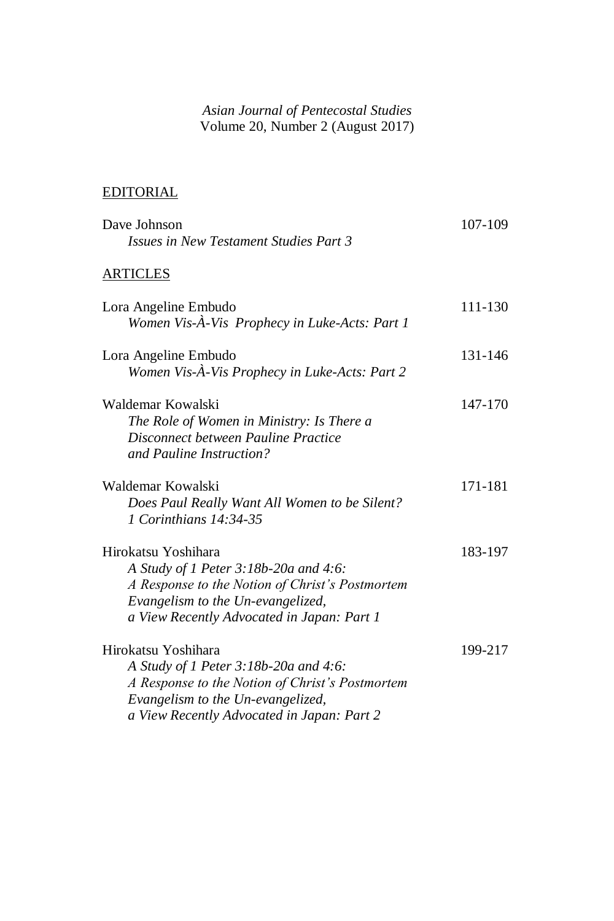## *Asian Journal of Pentecostal Studies* Volume 20, Number 2 (August 2017)

## EDITORIAL

| Dave Johnson<br><b>Issues in New Testament Studies Part 3</b>                                                                                                                                      | 107-109 |
|----------------------------------------------------------------------------------------------------------------------------------------------------------------------------------------------------|---------|
| <b>ARTICLES</b>                                                                                                                                                                                    |         |
| Lora Angeline Embudo<br>Women Vis-À-Vis Prophecy in Luke-Acts: Part 1                                                                                                                              | 111-130 |
| Lora Angeline Embudo<br>Women Vis-À-Vis Prophecy in Luke-Acts: Part 2                                                                                                                              | 131-146 |
| Waldemar Kowalski<br>The Role of Women in Ministry: Is There a<br>Disconnect between Pauline Practice<br>and Pauline Instruction?                                                                  | 147-170 |
| Waldemar Kowalski<br>Does Paul Really Want All Women to be Silent?<br>1 Corinthians 14:34-35                                                                                                       | 171-181 |
| Hirokatsu Yoshihara<br>A Study of 1 Peter 3:18b-20a and 4:6:<br>A Response to the Notion of Christ's Postmortem<br>Evangelism to the Un-evangelized,<br>a View Recently Advocated in Japan: Part 1 | 183-197 |
| Hirokatsu Yoshihara<br>A Study of 1 Peter 3:18b-20a and 4:6:<br>A Response to the Notion of Christ's Postmortem<br>Evangelism to the Un-evangelized,<br>a View Recently Advocated in Japan: Part 2 | 199-217 |